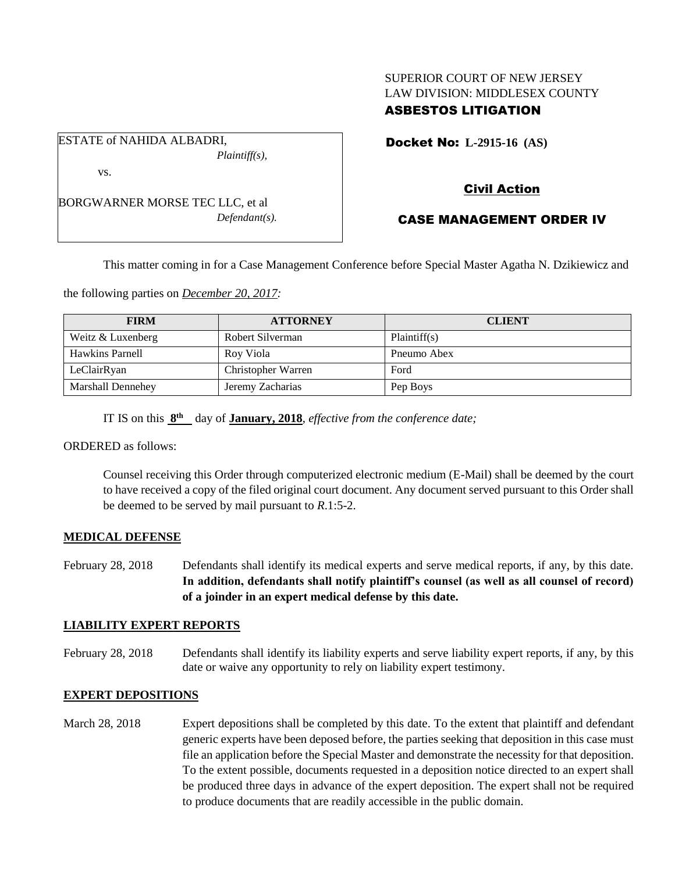## SUPERIOR COURT OF NEW JERSEY LAW DIVISION: MIDDLESEX COUNTY ASBESTOS LITIGATION

Docket No: **L-2915-16 (AS)** 

BORGWARNER MORSE TEC LLC, et al *Defendant(s).*

*Plaintiff(s),*

ESTATE of NAHIDA ALBADRI,

vs.

# Civil Action

# CASE MANAGEMENT ORDER IV

This matter coming in for a Case Management Conference before Special Master Agatha N. Dzikiewicz and

the following parties on *December 20, 2017:*

| <b>FIRM</b>              | <b>ATTORNEY</b>    | <b>CLIENT</b> |
|--------------------------|--------------------|---------------|
| Weitz & Luxenberg        | Robert Silverman   | Plaintiff(s)  |
| <b>Hawkins Parnell</b>   | Rov Viola          | Pneumo Abex   |
| LeClairRyan              | Christopher Warren | Ford          |
| <b>Marshall Dennehey</b> | Jeremy Zacharias   | Pep Boys      |

IT IS on this  $8<sup>th</sup>$  day of **January, 2018**, *effective from the conference date*;

ORDERED as follows:

Counsel receiving this Order through computerized electronic medium (E-Mail) shall be deemed by the court to have received a copy of the filed original court document. Any document served pursuant to this Order shall be deemed to be served by mail pursuant to *R*.1:5-2.

#### **MEDICAL DEFENSE**

February 28, 2018 Defendants shall identify its medical experts and serve medical reports, if any, by this date. **In addition, defendants shall notify plaintiff's counsel (as well as all counsel of record) of a joinder in an expert medical defense by this date.**

#### **LIABILITY EXPERT REPORTS**

February 28, 2018 Defendants shall identify its liability experts and serve liability expert reports, if any, by this date or waive any opportunity to rely on liability expert testimony.

## **EXPERT DEPOSITIONS**

March 28, 2018 Expert depositions shall be completed by this date. To the extent that plaintiff and defendant generic experts have been deposed before, the parties seeking that deposition in this case must file an application before the Special Master and demonstrate the necessity for that deposition. To the extent possible, documents requested in a deposition notice directed to an expert shall be produced three days in advance of the expert deposition. The expert shall not be required to produce documents that are readily accessible in the public domain.